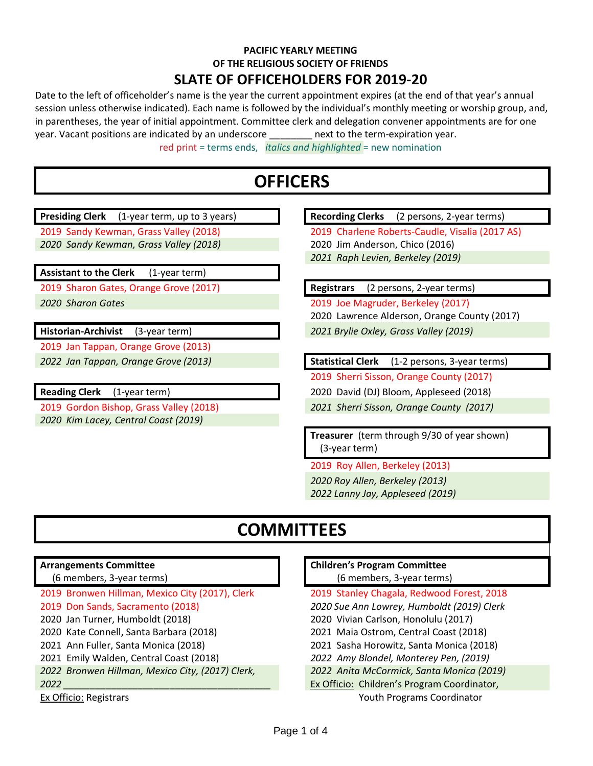## **PACIFIC YEARLY MEETING OF THE RELIGIOUS SOCIETY OF FRIENDS**

### **SLATE OF OFFICEHOLDERS FOR 2019-20**

Date to the left of officeholder's name is the year the current appointment expires (at the end of that year's annual session unless otherwise indicated). Each name is followed by the individual's monthly meeting or worship group, and, in parentheses, the year of initial appointment. Committee clerk and delegation convener appointments are for one year. Vacant positions are indicated by an underscore \_\_\_\_\_\_\_\_ next to the term-expiration year.

red print = terms ends, *italics and highlighted* = new nomination

## **OFFICERS**

**Presiding Clerk** (1-year term, up to 3 years) **Recording Clerks** (2 persons, 2-year terms) 2019 Sandy Kewman, Grass Valley (2018) 2019 Charlene Roberts-Caudle, Visalia (2017 AS) *2020 Sandy Kewman, Grass Valley (2018)* 2020 Jim Anderson, Chico (2016) *2021 Raph Levien, Berkeley (2019)* **Assistant to the Clerk** (1-year term) 2019 Sharon Gates, Orange Grove (2017) **Registrars** (2 persons, 2-year terms) *2020 Sharon Gates* 2019 Joe Magruder, Berkeley (2017) 2020 Lawrence Alderson, Orange County (2017) **Historian-Archivist** (3-year term) *2021 Brylie Oxley, Grass Valley (2019)* 2019 Jan Tappan, Orange Grove (2013) *2022 Jan Tappan, Orange Grove (2013)* **Statistical Clerk** (1-2 persons, 3-year terms) 2019 Sherri Sisson, Orange County (2017) **Reading Clerk** (1-year term) 2020 David (DJ) Bloom, Appleseed (2018) 2019 Gordon Bishop, Grass Valley (2018) *2021 Sherri Sisson, Orange County (2017) 2020 Kim Lacey, Central Coast (2019)* **Treasurer** (term through 9/30 of year shown) (3-year term) 2019 Roy Allen, Berkeley (2013) *2020 Roy Allen, Berkeley (2013) 2022 Lanny Jay, Appleseed (2019)* **COMMITTEES Arrangements Committee** (6 members, 3-year terms) **Children's Program Committee**  (6 members, 3-year terms) 2019 Bronwen Hillman, Mexico City (2017), Clerk 2019 Stanley Chagala, Redwood Forest, 2018 2019 Don Sands, Sacramento (2018) *2020 Sue Ann Lowrey, Humboldt (2019) Clerk*  2020 Jan Turner, Humboldt (2018) 2020 Vivian Carlson, Honolulu (2017) 2020 Kate Connell, Santa Barbara (2018) 2021 Maia Ostrom, Central Coast (2018) 2021 Ann Fuller, Santa Monica (2018) 2021 Sasha Horowitz, Santa Monica (2018) 2021 Emily Walden, Central Coast (2018) *2022 Amy Blondel, Monterey Pen, (2019) 2022 Bronwen Hillman, Mexico City, (2017) Clerk, 2022 Anita McCormick, Santa Monica (2019)*

*2022 \_\_\_\_\_\_\_\_\_\_\_\_\_\_\_\_\_\_\_\_\_\_\_\_\_\_\_\_\_\_\_\_\_\_\_\_\_\_\_* Ex Officio: Children's Program Coordinator,

Ex Officio: Registrars Youth Programs Coordinator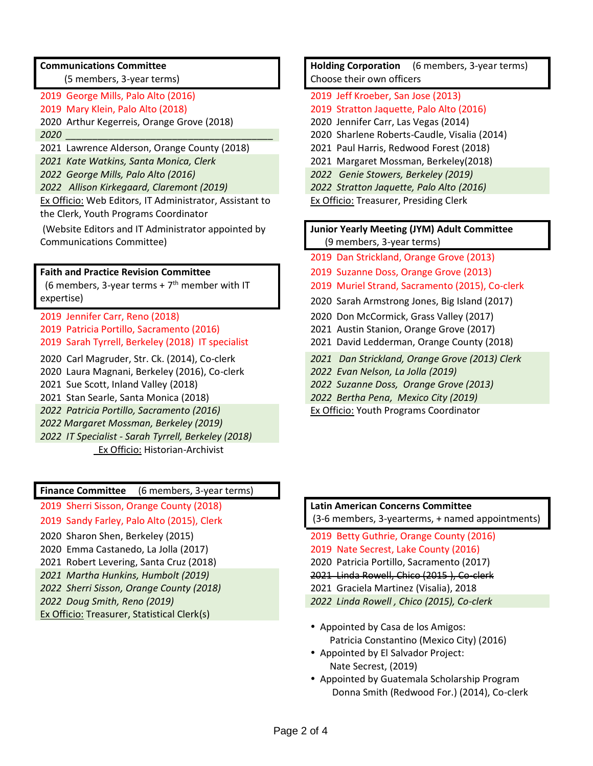### **Communications Committee**

(5 members, 3-year terms)

- 
- 2020 Arthur Kegerreis, Orange Grove (2018) 2020 Jennifer Carr, Las Vegas (2014)
- 
- 2021 Lawrence Alderson, Orange County (2018) 2021 Paul Harris, Redwood Forest (2018)
- *2021 Kate Watkins, Santa Monica, Clerk* 2021 Margaret Mossman, Berkeley(2018)
- 
- *2022 Allison Kirkegaard, Claremont (2019) 2022 Stratton Jaquette, Palo Alto (2016)*

Ex Officio: Web Editors, IT Administrator, Assistant to the Clerk, Youth Programs Coordinator

(Website Editors and IT Administrator appointed by Communications Committee)

### **Faith and Practice Revision Committee**

 $(6$  members, 3-year terms +  $7<sup>th</sup>$  member with IT expertise)

2019 Jennifer Carr, Reno (2018) 2020 Don McCormick, Grass Valley (2017) 2019 Patricia Portillo, Sacramento (2016) 2021 Austin Stanion, Orange Grove (2017) 2019 Sarah Tyrrell, Berkeley (2018) IT specialist 2021 David Ledderman, Orange County (2018)

2020 Laura Magnani, Berkeley (2016), Co-clerk *2022 Evan Nelson, La Jolla (2019)*

- 
- *2022 Patricia Portillo, Sacramento (2016)*

*2022 Margaret Mossman, Berkeley (2019)*

*2022 IT Specialist - Sarah Tyrrell, Berkeley (2018)* Ex Officio: Historian-Archivist

### **Finance Committee** (6 members, 3-year terms)

2019 Sherri Sisson, Orange County (2018) **Latin American Concerns Committee**

- 2020 Sharon Shen, Berkeley (2015) 2019 Betty Guthrie, Orange County (2016)
- 2020 Emma Castanedo, La Jolla (2017) 2019 Nate Secrest, Lake County (2016)
- 
- 
- *2022 Sherri Sisson, Orange County (2018)* 2021 Graciela Martinez (Visalia), 2018
- 

Ex Officio: Treasurer, Statistical Clerk(s)

**Holding Corporation** (6 members, 3-year terms) Choose their own officers

- 2019 George Mills, Palo Alto (2016) 2019 Jeff Kroeber, San Jose (2013)
- 2019 Mary Klein, Palo Alto (2018) 2019 Stratton Jaquette, Palo Alto (2016)
	-
- *2020 \_\_\_\_\_\_\_\_\_\_\_\_\_\_\_\_\_\_\_\_\_\_\_\_\_\_\_\_\_\_\_\_\_\_\_\_\_\_\_* 2020 Sharlene Roberts-Caudle, Visalia (2014)
	-
	-
- *2022 George Mills, Palo Alto (2016) 2022 Genie Stowers, Berkeley (2019)*
	-
	- Ex Officio: Treasurer, Presiding Clerk

### **Junior Yearly Meeting (JYM) Adult Committee** (9 members, 3-year terms)

- 2019 Dan Strickland, Orange Grove (2013)
- 2019 Suzanne Doss, Orange Grove (2013)
- 2019 Muriel Strand, Sacramento (2015), Co-clerk
- 2020 Sarah Armstrong Jones, Big Island (2017)
- 
- 
- 
- 2020 Carl Magruder, Str. Ck. (2014), Co-clerk *2021 Dan Strickland, Orange Grove (2013) Clerk*
	-
- 2021 Sue Scott, Inland Valley (2018) *2022 Suzanne Doss, Orange Grove (2013)*
- 2021 Stan Searle, Santa Monica (2018) *2022 Bertha Pena, Mexico City (2019)*
	- Ex Officio: Youth Programs Coordinator

## 2019 Sandy Farley, Palo Alto (2015), Clerk (3-6 members, 3-yearterms, + named appointments)

- 
- 2021 Robert Levering, Santa Cruz (2018) 2020 Patricia Portillo, Sacramento (2017)
- *2021 Martha Hunkins, Humbolt (2019)* 2021 Linda Rowell, Chico (2015 ), Co-clerk
	-
- *2022 Doug Smith, Reno (2019) 2022 Linda Rowell , Chico (2015), Co-clerk*
	- Appointed by Casa de los Amigos: Patricia Constantino (Mexico City) (2016)
	- Appointed by El Salvador Project: Nate Secrest, (2019)
	- Appointed by Guatemala Scholarship Program Donna Smith (Redwood For.) (2014), Co-clerk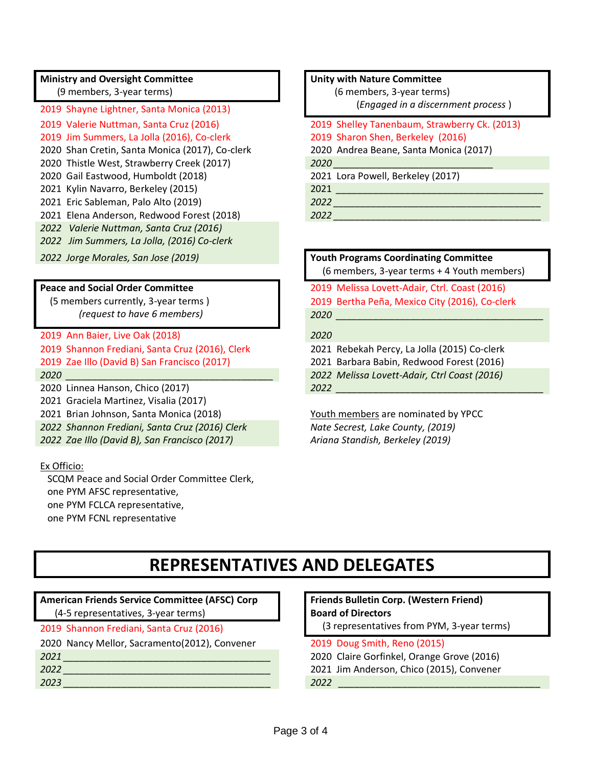### **Ministry and Oversight Committee**

(9 members, 3-year terms)

2019 Shayne Lightner, Santa Monica (2013)

2019 Jim Summers, La Jolla (2016), Co-clerk 2019 Sharon Shen, Berkeley (2016)

2020 Shan Cretin, Santa Monica (2017), Co-clerk 2020 Andrea Beane, Santa Monica (2017)

2020 Thistle West, Strawberry Creek (2017) *2020 \_\_\_\_\_\_\_\_\_\_\_\_\_\_\_\_\_\_\_\_\_\_\_\_\_\_\_\_\_\_*

2020 Gail Eastwood, Humboldt (2018) 2021 Lora Powell, Berkeley (2017)

2021 Kylin Navarro, Berkeley (2015) 2021 *\_\_\_\_\_\_\_\_\_\_\_\_\_\_\_\_\_\_\_\_\_\_\_\_\_\_\_\_\_\_\_\_\_\_\_\_\_\_\_*

2021 Eric Sableman, Palo Alto (2019) *2022 \_\_\_\_\_\_\_\_\_\_\_\_\_\_\_\_\_\_\_\_\_\_\_\_\_\_\_\_\_\_\_\_\_\_\_\_\_\_\_*

2021 Elena Anderson, Redwood Forest (2018) *2022 \_\_\_\_\_\_\_\_\_\_\_\_\_\_\_\_\_\_\_\_\_\_\_\_\_\_\_\_\_\_\_\_\_\_\_\_\_\_\_*

*2022 Valerie Nuttman, Santa Cruz (2016)*

*2022 Jim Summers, La Jolla, (2016) Co-clerk*

### **Peace and Social Order Committee**

 (5 members currently, 3-year terms )  *(request to have 6 members)*

2019 Ann Baier, Live Oak (2018) *2020* 

2020 Linnea Hanson, Chico (2017) *2022 \_\_\_\_\_\_\_\_\_\_\_\_\_\_\_\_\_\_\_\_\_\_\_\_\_\_\_\_\_\_\_\_\_\_\_\_\_\_\_*

2021 Graciela Martinez, Visalia (2017)

2021 Brian Johnson, Santa Monica (2018) Youth members are nominated by YPCC

*2022 Shannon Frediani, Santa Cruz (2016) Clerk Nate Secrest, Lake County, (2019)*

*2022 Zae Illo (David B), San Francisco (2017) Ariana Standish, Berkeley (2019)*

### Ex Officio:

 SCQM Peace and Social Order Committee Clerk, one PYM AFSC representative, one PYM FCLCA representative, one PYM FCNL representative

#### **Unity with Nature Committee**

 (6 members, 3-year terms) (*Engaged in a discernment process* )

# 2019 Valerie Nuttman, Santa Cruz (2016) 2019 Shelley Tanenbaum, Strawberry Ck. (2013)

## *2022 Jorge Morales, San Jose (2019)* **Youth Programs Coordinating Committee** (6 members, 3-year terms + 4 Youth members) 2019 Melissa Lovett-Adair, Ctrl. Coast (2016) 2019 Bertha Peña, Mexico City (2016), Co-clerk *2020 \_\_\_\_\_\_\_\_\_\_\_\_\_\_\_\_\_\_\_\_\_\_\_\_\_\_\_\_\_\_\_\_\_\_\_\_\_\_\_* 2019 Shannon Frediani, Santa Cruz (2016), Clerk 2021 Rebekah Percy, La Jolla (2015) Co-clerk 2019 Zae Illo (David B) San Francisco (2017) 2021 Barbara Babin, Redwood Forest (2016) *2020 \_\_\_\_\_\_\_\_\_\_\_\_\_\_\_\_\_\_\_\_\_\_\_\_\_\_\_\_\_\_\_\_\_\_\_\_\_\_\_ 2022 Melissa Lovett-Adair, Ctrl Coast (2016)*

## **REPRESENTATIVES AND DELEGATES**

## **American Friends Service Committee (AFSC) Corp**

(4-5 representatives, 3-year terms)

- 
- 
- 

### **Friends Bulletin Corp. (Western Friend) Board of Directors**

- 2019 Shannon Frediani, Santa Cruz (2016) (3 representatives from PYM, 3-year terms)
- 2020 Nancy Mellor, Sacramento(2012), Convener 2019 Doug Smith, Reno (2015)
- *2021 \_\_\_\_\_\_\_\_\_\_\_\_\_\_\_\_\_\_\_\_\_\_\_\_\_\_\_\_\_\_\_\_\_\_\_\_\_\_\_* 2020 Claire Gorfinkel, Orange Grove (2016)
- *2022 \_\_\_\_\_\_\_\_\_\_\_\_\_\_\_\_\_\_\_\_\_\_\_\_\_\_\_\_\_\_\_\_\_\_\_\_\_\_\_* 2021 Jim Anderson, Chico (2015), Convener
- *2023 \_\_\_\_\_\_\_\_\_\_\_\_\_\_\_\_\_\_\_\_\_\_\_\_\_\_\_\_\_\_\_\_\_\_\_\_\_\_\_ 2022 \_\_\_\_\_\_\_\_\_\_\_\_\_\_\_\_\_\_\_\_\_\_\_\_\_\_\_\_\_\_\_\_\_\_\_\_\_\_*